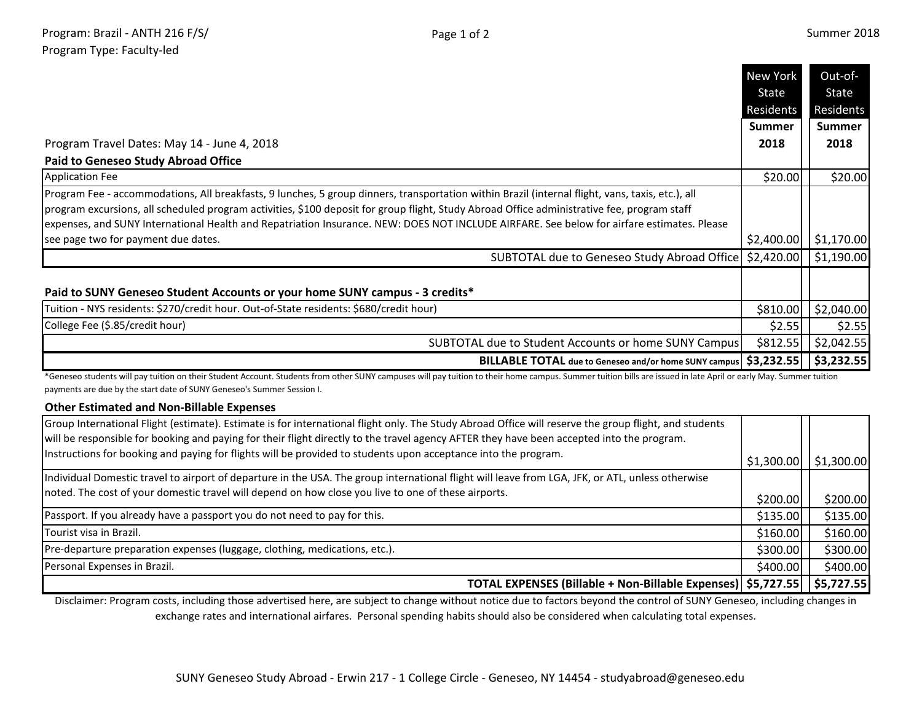\$400.00 **\$400.00** 

|                                                                                                                                                                                                                                                                                            | <b>New York</b>                | Out-of-                            |
|--------------------------------------------------------------------------------------------------------------------------------------------------------------------------------------------------------------------------------------------------------------------------------------------|--------------------------------|------------------------------------|
|                                                                                                                                                                                                                                                                                            | State                          | State                              |
|                                                                                                                                                                                                                                                                                            | Residents                      | Residents                          |
|                                                                                                                                                                                                                                                                                            | <b>Summer</b>                  | <b>Summer</b>                      |
| Program Travel Dates: May 14 - June 4, 2018                                                                                                                                                                                                                                                | 2018                           | 2018                               |
| <b>Paid to Geneseo Study Abroad Office</b>                                                                                                                                                                                                                                                 |                                |                                    |
| <b>Application Fee</b>                                                                                                                                                                                                                                                                     | \$20.00                        | \$20.00                            |
| Program Fee - accommodations, All breakfasts, 9 lunches, 5 group dinners, transportation within Brazil (internal flight, vans, taxis, etc.), all                                                                                                                                           |                                |                                    |
| program excursions, all scheduled program activities, \$100 deposit for group flight, Study Abroad Office administrative fee, program staff                                                                                                                                                |                                |                                    |
| expenses, and SUNY International Health and Repatriation Insurance. NEW: DOES NOT INCLUDE AIRFARE. See below for airfare estimates. Please                                                                                                                                                 |                                |                                    |
| see page two for payment due dates.                                                                                                                                                                                                                                                        |                                | $$2,400.00$ $$1,170.00$            |
| SUBTOTAL due to Geneseo Study Abroad Office   \$2,420.00   \$1,190.00                                                                                                                                                                                                                      |                                |                                    |
| Tuition - NYS residents: \$270/credit hour. Out-of-State residents: \$680/credit hour)<br>College Fee (\$.85/credit hour)<br><b>SUBTOTAL due to Student Accounts or home SUNY Campus</b>                                                                                                   | \$810.00<br>\$2.55<br>\$812.55 | \$2,040.00<br>\$2.55<br>\$2,042.55 |
| BILLABLE TOTAL due to Geneseo and/or home SUNY campus   \$3,232.55                                                                                                                                                                                                                         |                                | \$3,232.55                         |
| *Geneseo students will pay tuition on their Student Account. Students from other SUNY campuses will pay tuition to their home campus. Summer tuition bills are issued in late April or early May. Summer tuition<br>payments are due by the start date of SUNY Geneseo's Summer Session I. |                                |                                    |
| <b>Other Estimated and Non-Billable Expenses</b><br>Group International Flight (estimate). Estimate is for international flight only. The Study Abroad Office will reserve the group flight, and students                                                                                  |                                |                                    |
| will be responsible for booking and paying for their flight directly to the travel agency AFTER they have been accepted into the program.                                                                                                                                                  |                                |                                    |
| Instructions for booking and paying for flights will be provided to students upon acceptance into the program.                                                                                                                                                                             |                                |                                    |
|                                                                                                                                                                                                                                                                                            | \$1,300.00                     | \$1,300.00                         |
| Individual Domestic travel to airport of departure in the USA. The group international flight will leave from LGA, JFK, or ATL, unless otherwise                                                                                                                                           |                                |                                    |
| noted. The cost of your domestic travel will depend on how close you live to one of these airports.                                                                                                                                                                                        | \$200.00                       | \$200.00                           |
| Passport. If you already have a passport you do not need to pay for this.                                                                                                                                                                                                                  | \$135.00                       | \$135.00                           |
| Tourist visa in Brazil.                                                                                                                                                                                                                                                                    | \$160.00                       | \$160.00                           |
| Pre-departure preparation expenses (luggage, clothing, medications, etc.).                                                                                                                                                                                                                 | \$300.00                       | \$300.00                           |

Pre-departure preparation expenses (luggage, clothing, medications, etc.).

Personal Expenses in Brazil.

**\$5,727.55 \$5,727.55 TOTAL EXPENSES (Billable + Non-Billable Expenses)**

Disclaimer: Program costs, including those advertised here, are subject to change without notice due to factors beyond the control of SUNY Geneseo, including changes in exchange rates and international airfares. Personal spending habits should also be considered when calculating total expenses.